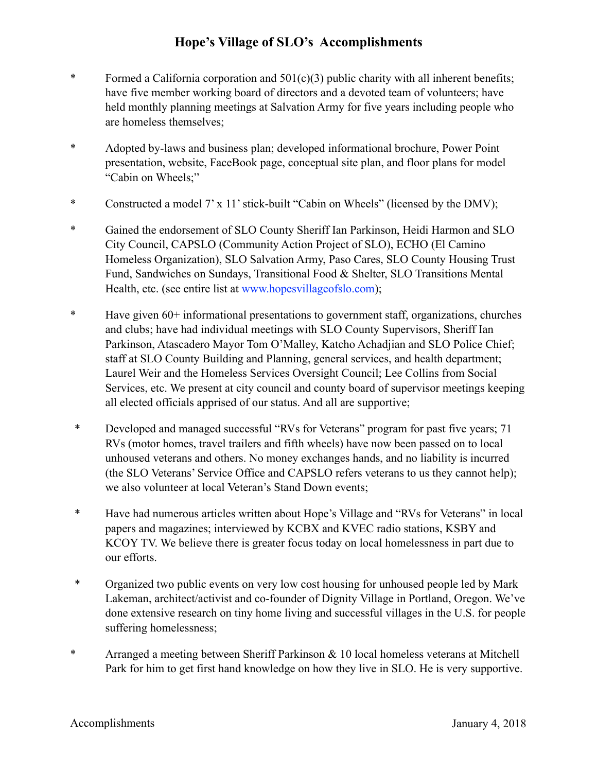## **Hope's Village of SLO's Accomplishments**

- \* Formed a California corporation and 501(c)(3) public charity with all inherent benefits; have five member working board of directors and a devoted team of volunteers; have held monthly planning meetings at Salvation Army for five years including people who are homeless themselves;
- \* Adopted by-laws and business plan; developed informational brochure, Power Point presentation, website, FaceBook page, conceptual site plan, and floor plans for model "Cabin on Wheels;"
- \* Constructed a model 7' x 11' stick-built "Cabin on Wheels" (licensed by the DMV);
- \* Gained the endorsement of SLO County Sheriff Ian Parkinson, Heidi Harmon and SLO City Council, CAPSLO (Community Action Project of SLO), ECHO (El Camino Homeless Organization), SLO Salvation Army, Paso Cares, SLO County Housing Trust Fund, Sandwiches on Sundays, Transitional Food & Shelter, SLO Transitions Mental Health, etc. (see entire list at www.hopesvillageofslo.com);
- \* Have given 60+ informational presentations to government staff, organizations, churches and clubs; have had individual meetings with SLO County Supervisors, Sheriff Ian Parkinson, Atascadero Mayor Tom O'Malley, Katcho Achadjian and SLO Police Chief; staff at SLO County Building and Planning, general services, and health department; Laurel Weir and the Homeless Services Oversight Council; Lee Collins from Social Services, etc. We present at city council and county board of supervisor meetings keeping all elected officials apprised of our status. And all are supportive;
- \* Developed and managed successful "RVs for Veterans" program for past five years; 71 RVs (motor homes, travel trailers and fifth wheels) have now been passed on to local unhoused veterans and others. No money exchanges hands, and no liability is incurred (the SLO Veterans' Service Office and CAPSLO refers veterans to us they cannot help); we also volunteer at local Veteran's Stand Down events;
- \* Have had numerous articles written about Hope's Village and "RVs for Veterans" in local papers and magazines; interviewed by KCBX and KVEC radio stations, KSBY and KCOY TV. We believe there is greater focus today on local homelessness in part due to our efforts.
- \* Organized two public events on very low cost housing for unhoused people led by Mark Lakeman, architect/activist and co-founder of Dignity Village in Portland, Oregon. We've done extensive research on tiny home living and successful villages in the U.S. for people suffering homelessness;
- \* Arranged a meeting between Sheriff Parkinson & 10 local homeless veterans at Mitchell Park for him to get first hand knowledge on how they live in SLO. He is very supportive.